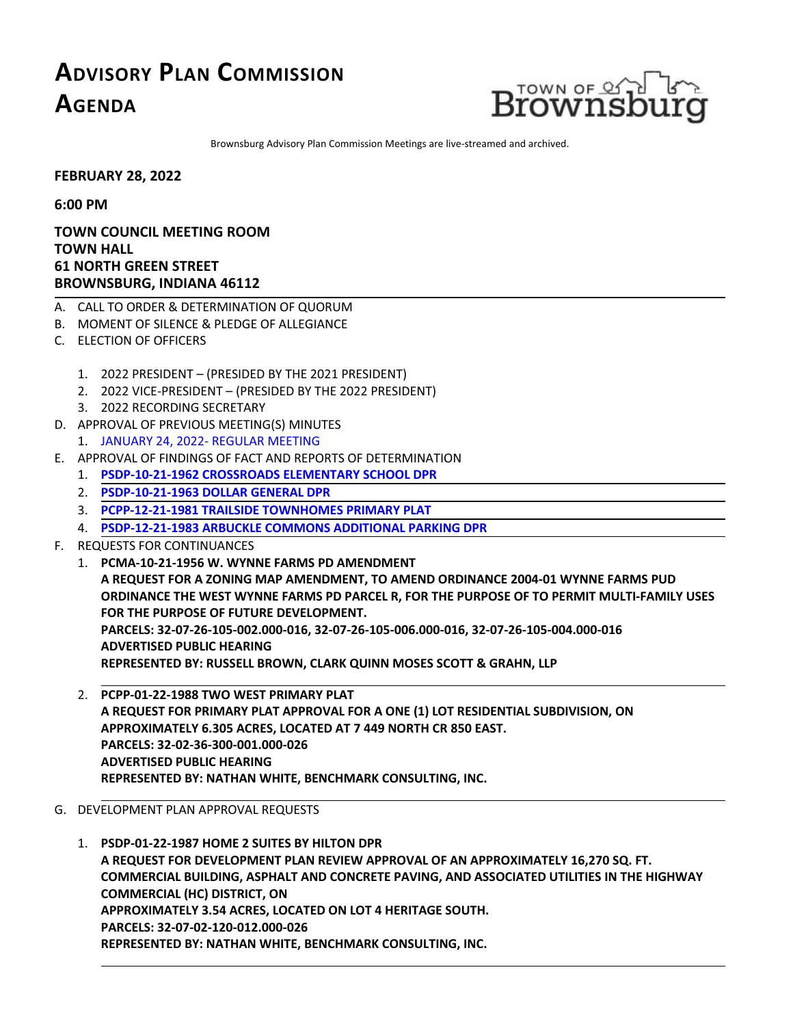## **ADVISORY PLAN COMMISSION AGENDA**



Brownsburg Advisory Plan Commission Meetings are live-streamed and archived.

**FEBRUARY 28, 2022**

**6:00 PM**

## **TOWN COUNCIL MEETING ROOM TOWN HALL 61 NORTH GREEN STREET BROWNSBURG, INDIANA 46112**

- A. CALL TO ORDER & DETERMINATION OF QUORUM
- B. MOMENT OF SILENCE & PLEDGE OF ALLEGIANCE
- C. ELECTION OF OFFICERS
	- 1. 2022 PRESIDENT (PRESIDED BYTHE 2021 PRESIDENT)
	- 2. 2022 VICE-PRESIDENT (PRESIDED BYTHE 2022 PRESIDENT)
	- 3. 2022 RECORDING SECRETARY
- D. APPROVAL OF PREVIOUS MEETING(S) MINUTES
	- 1. JANUARY 24, 2022- [REGULAR](http://packets.shea.agendease.com/getdoc.php?cID=10000128&bID=160&mID=5592&iID=48381) MEETING
- E. APPROVAL OFFINDINGS OFFACT AND REPORTS OF DETERMINATION
	- 1. **PSDP-10-21-1962 [CROSSROADSELEMENTARY](http://packets.shea.agendease.com/getdoc.php?cID=10000128&bID=160&mID=5592&iID=48382) SCHOOL DPR**
	- 2. **[PSDP-10-21-1963](http://packets.shea.agendease.com/getdoc.php?cID=10000128&bID=160&mID=5592&iID=48383) DOLLAR GENERAL DPR**
	- 3. **[PCPP-12-21-1981](http://packets.shea.agendease.com/getdoc.php?cID=10000128&bID=160&mID=5592&iID=48384) TRAILSIDE TOWNHOMES PRIMARY PLAT**
	- 4. **[PSDP-12-21-1983](http://packets.shea.agendease.com/getdoc.php?cID=10000128&bID=160&mID=5592&iID=48385) ARBUCKLE COMMONS ADDITIONAL PARKING DPR**
- F. REQUESTS FOR CONTINUANCES
	- 1. **PCMA-10-21-1956 W. WYNNEFARMS PD AMENDMENT A REQUEST FOR A ZONING MAP AMENDMENT, TO AMEND ORDINANCE 2004-01 WYNNEFARMS PUD ORDINANCE THE WEST WYNNEFARMS PD PARCEL R, FOR THE PURPOSE OF TO PERMIT MULTI-FAMILY USES FOR THE PURPOSE OFFUTURE DEVELOPMENT. PARCELS: 32-07-26-105-002.000-016, 32-07-26-105-006.000-016, 32-07-26-105-004.000-016 ADVERTISED PUBLIC HEARING REPRESENTED BY: RUSSELL BROWN, CLARK QUINN MOSESSCOTT & GRAHN, LLP**
	- 2. **PCPP-01-22-1988 TWO WEST PRIMARY PLAT A REQUEST FOR PRIMARY PLAT APPROVALFOR A ONE(1) LOT RESIDENTIALSUBDIVISION, ON APPROXIMATELY 6.305 ACRES, LOCATED AT <sup>7</sup> <sup>449</sup> NORTH CR <sup>850</sup> EAST. PARCELS: 32-02-36-300-001.000-026 ADVERTISED PUBLIC HEARING REPRESENTED BY: NATHAN WHITE, BENCHMARK CONSULTING, INC.**
- G. DEVELOPMENT PLAN APPROVAL REQUESTS
	- 1. **[PSDP-01-22-1987](http://packets.shea.agendease.com/getdoc.php?cID=10000128&bID=160&mID=5592&iID=48388) HOME 2 SUITES BY HILTON DPR** A REQUEST FOR DEVELOPMENT PLAN REVIEW APPROVAL OF AN APPROXIMATELY 16,270 SQ. FT.<br>COMMERCIAL BUILDING, ASPHALT AND CONCRETE PAVING, AND ASSOCIATED UTILITIES IN THE HIGHWAY **COMMERCIAL (HC) DISTRICT, ON APPROXIMATELY 3.54 ACRES, LOCATED ON LOT <sup>4</sup> HERITAGESOUTH. PARCELS: 32-07-02-120-012.000-026 REPRESENTED BY: NATHAN WHITE, BENCHMARK CONSULTING, INC.**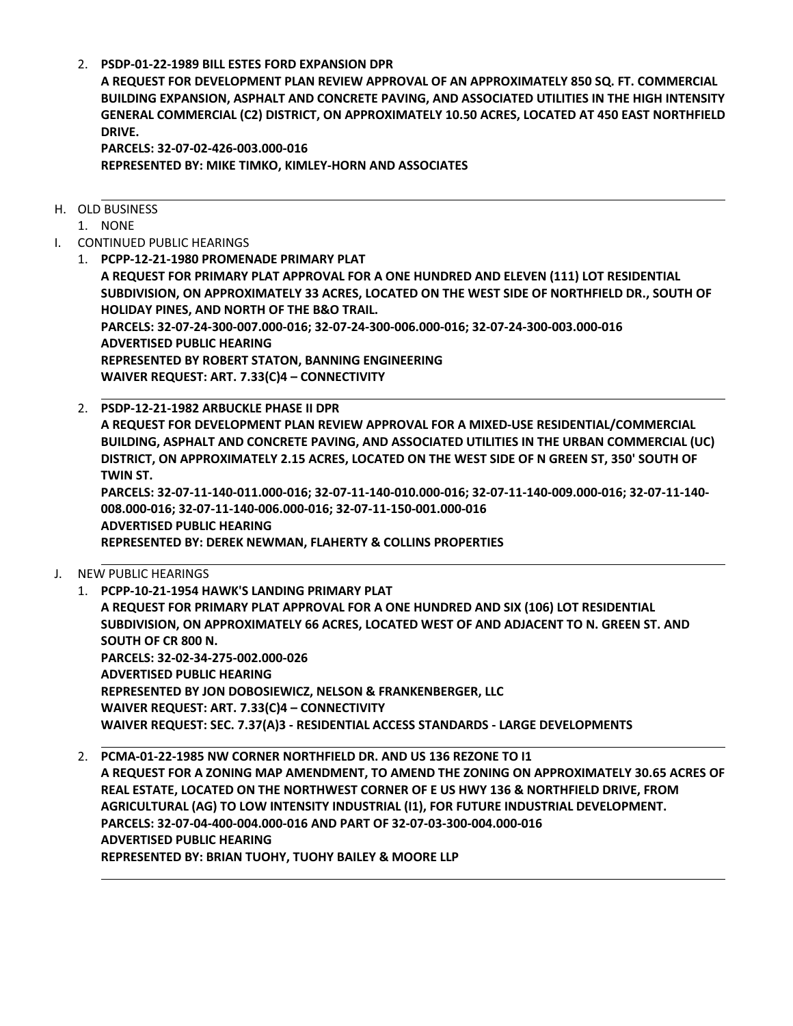2. **[PSDP-01-22-1989](http://packets.shea.agendease.com/getdoc.php?cID=10000128&bID=160&mID=5592&iID=48389) BILLESTESFORD EXPANSION DPR**

**A REQUEST FOR DEVELOPMENT PLAN REVIEW APPROVAL OF AN APPROXIMATELY 850 SQ. FT. COMMERCIAL BUILDING EXPANSION, ASPHALT AND CONCRETE PAVING, AND ASSOCIATED UTILITIESIN THE HIGH INTENSITY GENERAL COMMERCIAL (C2) DISTRICT, ON APPROXIMATELY 10.50 ACRES, LOCATED AT 450 EAST NORTHFIELD DRIVE.**

**PARCELS: 32-07-02-426-003.000-016 REPRESENTED BY: MIKE TIMKO, KIMLEY-HORN AND ASSOCIATES**

- H. OLD BUSINESS
	- 1. NONE
- I. CONTINUED PUBLIC HEARINGS
	- 1. **[PCPP-12-21-1980](http://packets.shea.agendease.com/getdoc.php?cID=10000128&bID=160&mID=5592&iID=48390) PROMENADE PRIMARY PLAT A REQUEST FOR PRIMARY PLAT APPROVALFOR A ONE HUNDRED AND ELEVEN (111) LOT RESIDENTIAL SUBDIVISION, ON APPROXIMATELY 33 ACRES, LOCATED ON THE WEST SIDE OF NORTHFIELD DR.,SOUTH OF HOLIDAY PINES, AND NORTH OF THE B&O TRAIL. PARCELS: 32-07-24-300-007.000-016; 32-07-24-300-006.000-016; 32-07-24-300-003.000-016 ADVERTISED PUBLIC HEARING REPRESENTED BY ROBERT STATON, BANNING ENGINEERING WAIVER REQUEST: ART. 7.33(C)4 – CONNECTIVITY**
	- 2. **[PSDP-12-21-1982](http://packets.shea.agendease.com/getdoc.php?cID=10000128&bID=160&mID=5592&iID=48391) ARBUCKLE PHASEII DPR A REQUEST FOR DEVELOPMENT PLAN REVIEW APPROVALFOR A MIXED-USE RESIDENTIAL/COMMERCIAL BUILDING, ASPHALT AND CONCRETE PAVING, AND ASSOCIATED UTILITIESIN THE URBAN COMMERCIAL (UC) DISTRICT, ON APPROXIMATELY 2.15 ACRES, LOCATED ON THE WEST SIDE OF N GREEN ST, 350'SOUTH OF TWIN ST. PARCELS: 32-07-11-140-011.000-016; 32-07-11-140-010.000-016; 32-07-11-140-009.000-016; 32-07-11-140- 008.000-016; 32-07-11-140-006.000-016; 32-07-11-150-001.000-016 ADVERTISED PUBLIC HEARING REPRESENTED BY: DEREK NEWMAN, FLAHERTY & COLLINS PROPERTIES**
- J. NEW PUBLIC HEARINGS

1. **PCPP-10-21-1954 [HAWK'SLANDING](http://packets.shea.agendease.com/getdoc.php?cID=10000128&bID=160&mID=5592&iID=48392) PRIMARY PLAT A REQUEST FOR PRIMARY PLAT APPROVALFOR A ONE HUNDRED AND SIX (106) LOT RESIDENTIAL SUBDIVISION, ON APPROXIMATELY 66 ACRES, LOCATED WEST OF AND ADJACENT TO N. GREEN ST. AND SOUTH OF CR <sup>800</sup> N. PARCELS: 32-02-34-275-002.000-026 ADVERTISED PUBLIC HEARING REPRESENTED BY JON DOBOSIEWICZ, NELSON & FRANKENBERGER, LLC WAIVER REQUEST: ART. 7.33(C)4 – CONNECTIVITY WAIVER REQUEST:SEC. 7.37(A)3 - RESIDENTIAL ACCESSSTANDARDS- LARGE DEVELOPMENTS**

2. **[PCMA-01-22-1985](http://packets.shea.agendease.com/getdoc.php?cID=10000128&bID=160&mID=5592&iID=48393) NW CORNER NORTHFIELD DR. AND US 136 REZONE TO I1 A REQUEST FOR A ZONING MAP AMENDMENT, TO AMEND THEZONING ON APPROXIMATELY 30.65 ACRES OF REALESTATE, LOCATED ON THE NORTHWEST CORNER OFE US HWY 136 & NORTHFIELD DRIVE, FROM AGRICULTURAL (AG) TO LOW INTENSITY INDUSTRIAL (I1), FOR FUTUREINDUSTRIAL DEVELOPMENT. PARCELS: 32-07-04-400-004.000-016 AND PART OF 32-07-03-300-004.000-016 ADVERTISED PUBLIC HEARING REPRESENTED BY: BRIAN TUOHY, TUOHY BAILEY & MOORELLP**